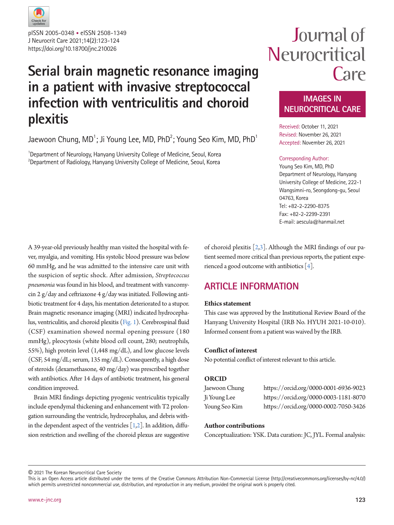

J Neurocrit Care 2021;14(2):123-124 https://doi.org/10.18700/jnc.210026 pISSN 2005-0348 • eISSN 2508-1349

# **Serial brain magnetic resonance imaging in a patient with invasive streptococcal infection with ventriculitis and choroid plexitis**

Jaewoon Chung, MD $^{\rm 1}$ ; Ji Young Lee, MD, PhD $^{\rm 2}$ ; Young Seo Kim, MD, PhD $^{\rm 1}$ 

<sup>1</sup>Department of Neurology, Hanyang University College of Medicine, Seoul, Korea  $^{2}$ Department of Radiology, Hanyang University College of Medicine, Seoul, Korea

# Journal of Neurocritical Care

### **IMAGES IN NEUROCRITICAL CARE**

Received: October 11, 2021 Revised: November 26, 2021 Accepted: November 26, 2021

#### Corresponding Author:

Young Seo Kim, MD, PhD Department of Neurology, Hanyang University College of Medicine, 222-1 Wangsimni-ro, Seongdong-gu, Seoul 04763, Korea Tel: +82-2-2290-8375 Fax: +82-2-2299-2391 E-mail: aescula@hanmail.net

A 39-year-old previously healthy man visited the hospital with fever, myalgia, and vomiting. His systolic blood pressure was below 60 mmHg, and he was admitted to the intensive care unit with the suspicion of septic shock. After admission, *Streptococcus pneumonia* was found in his blood, and treatment with vancomycin 2 g/day and ceftriaxone 4 g/day was initiated. Following antibiotic treatment for 4 days, his mentation deteriorated to a stupor. Brain magnetic resonance imaging (MRI) indicated hydrocephalus, ventriculitis, and choroid plexitis [\(Fig. 1\)](#page-1-0). Cerebrospinal fluid (CSF) examination showed normal opening pressure (180 mmHg), pleocytosis (white blood cell count, 280; neutrophils, 55%), high protein level (1,448 mg/dL), and low glucose levels (CSF, 54 mg/dL; serum, 135 mg/dL). Consequently, a high dose of steroids (dexamethasone, 40 mg/day) was prescribed together with antibiotics. After 14 days of antibiotic treatment, his general condition improved.

Brain MRI findings depicting pyogenic ventriculitis typically include ependymal thickening and enhancement with T2 prolongation surrounding the ventricle, hydrocephalus, and debris within the dependent aspect of the ventricles  $[1,2]$  $[1,2]$ . In addition, diffusion restriction and swelling of the choroid plexus are suggestive of choroid plexitis [\[2,](#page-1-2)[3\]](#page-1-3). Although the MRI findings of our patient seemed more critical than previous reports, the patient experienced a good outcome with antibiotics  $[4]$  $[4]$ .

# **ARTICLE INFORMATION**

#### **Ethics statement**

This case was approved by the Institutional Review Board of the Hanyang University Hospital (IRB No. HYUH 2021-10-010). Informed consent from a patient was waived by the IRB.

#### **Conflict of interest**

No potential conflict of interest relevant to this article.

#### **ORCID**

| Jaewoon Chung | https://orcid.org/0000-0001-6936-9023 |
|---------------|---------------------------------------|
| Ji Young Lee  | https://orcid.org/0000-0003-1181-8070 |
| Young Seo Kim | https://orcid.org/0000-0002-7050-3426 |

#### **Author contributions**

Conceptualization: YSK. Data curation: JC, JYL. Formal analysis:

© 2021 The Korean Neurocritical Care Society

This is an Open Access article distributed under the terms of the Creative Commons Attribution Non-Commercial License (http://creativecommons.org/licenses/by-nc/4.0/) which permits unrestricted noncommercial use, distribution, and reproduction in any medium, provided the original work is properly cited.